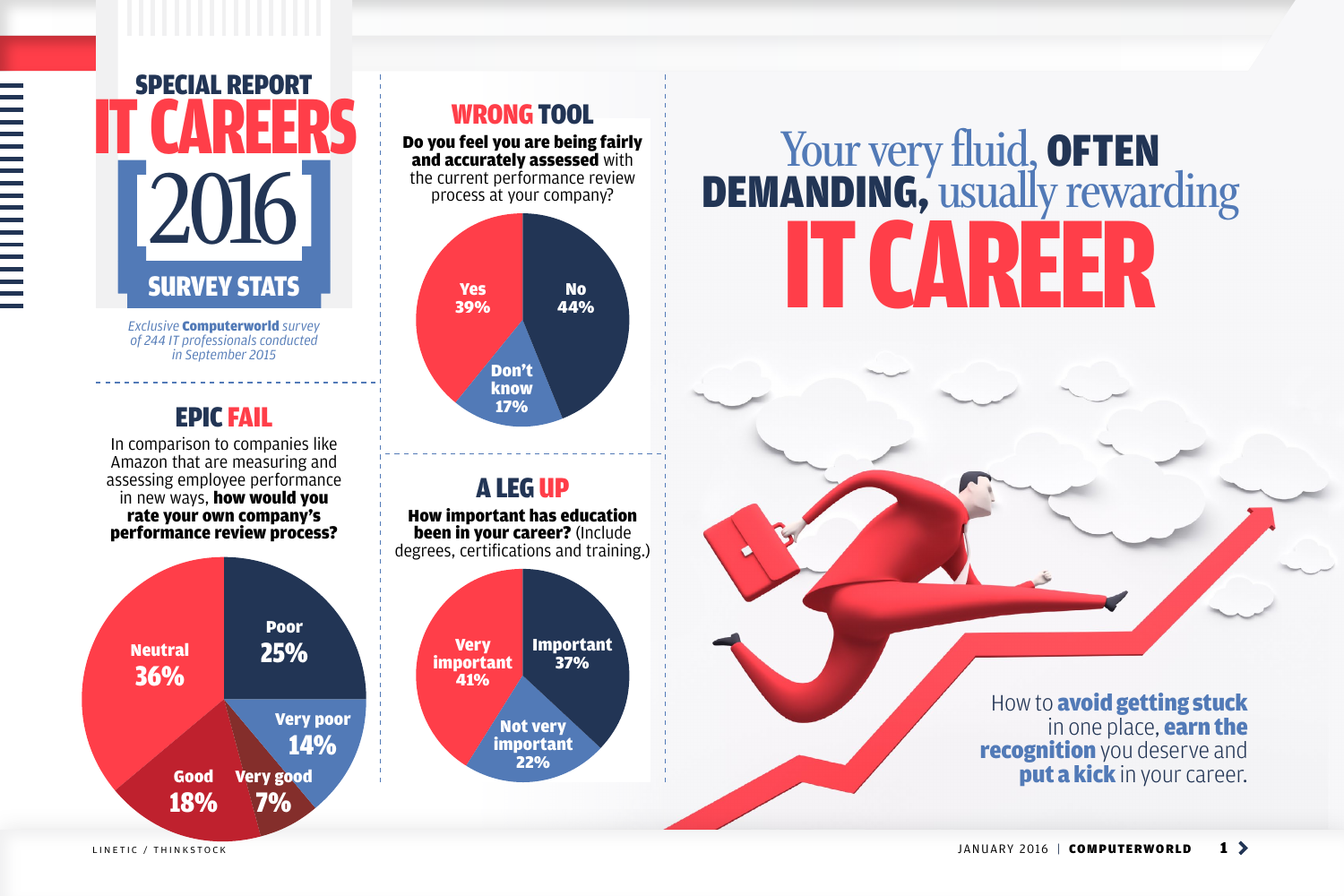*Exclusive* Computerworld *survey of 244 IT professionals conducted in September 2015*

#### EPIC FAIL

In comparison to companies like Amazon that are measuring and assessing employee performance in new ways, **how would you** rate your own company's performance review process?

## Special Report **IT CAREERS 2016 SURVEY STATS**

**NORWANISHING** 

WRONG TOOL

#### A LEG UP

Do you feel you are being fairly and accurately assessed with the current performance review process at your company? Yes 39% Don't know 17% No 44%

How important has education been in your career? (Include degrees, certifications and training.)



Your very fluid, OFTEN Demanding, **usually rewarding IT CARER** 

> How to **avoid getting stuck** in one place, **earn the recognition** you deserve and put a kick in your career.

LINETIC / THINKSTOCK **1** 2016 | **COMPUTERWORLD 1** 

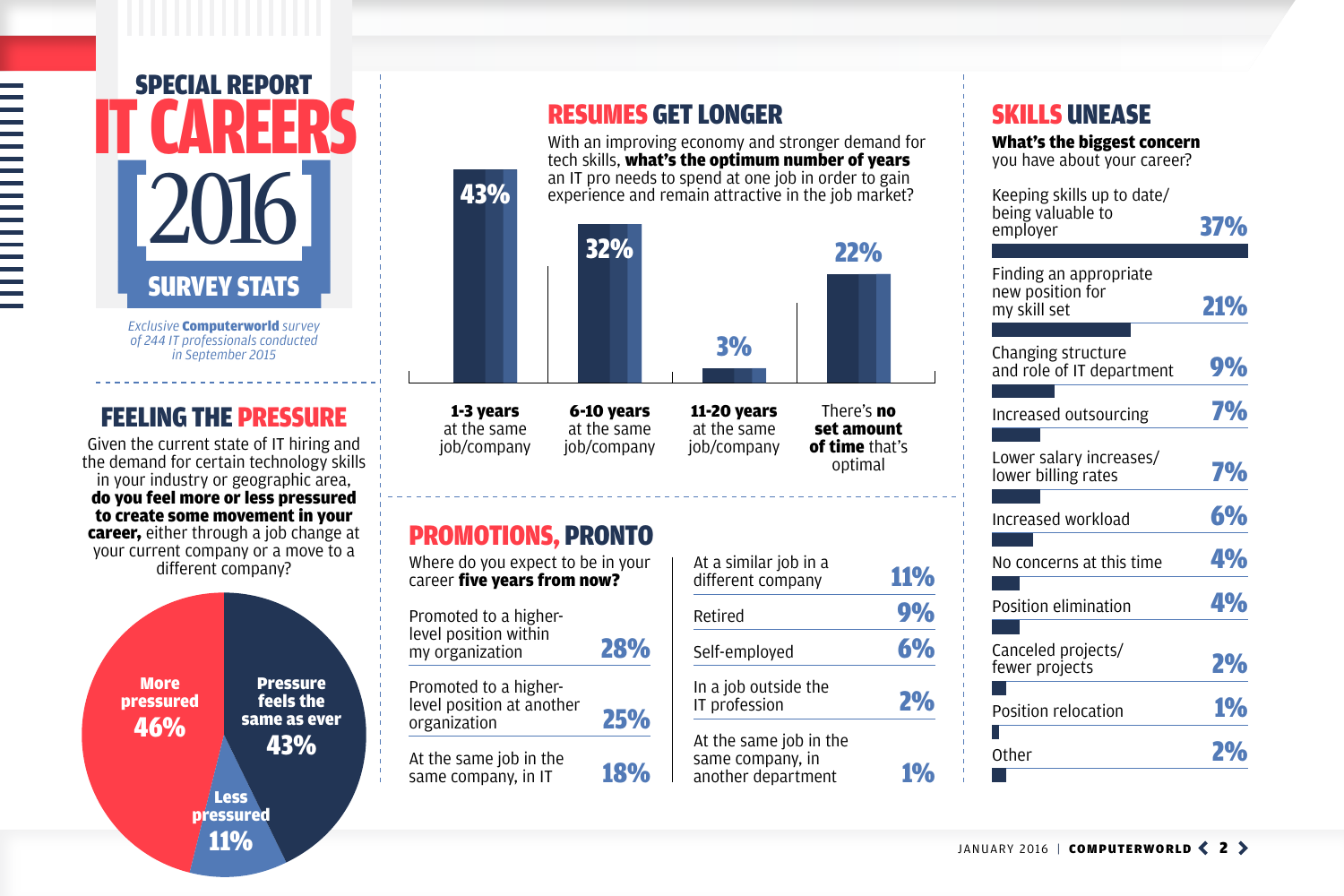## FEELING THE PRESSURE

Given the current state of IT hiring and the demand for certain technology skills in your industry or geographic area, do you feel more or less pressured to create some movement in your **career,** either through a job change at your current company or a move to a different company?

**More** pressured 46% Less pressured 11% Pressure feels the same as ever 43%

# 

# Special Report **IT CAREERS 2016 SURVEY STATS**

#### SKILLS UNEASE

What's the biggest concern you have about your career?

Keeping skills up to date/ being valuable to



| υτιιικ ναιυαυιτ ιυ<br>employer                             | 37%       |
|------------------------------------------------------------|-----------|
|                                                            |           |
| Finding an appropriate<br>new position for<br>my skill set | 21%       |
|                                                            |           |
| <b>Changing structure</b><br>and role of IT department     | 9%        |
|                                                            |           |
| Increased outsourcing                                      | <b>7%</b> |
|                                                            |           |
| Lower salary increases/<br>lower billing rates             | <b>7%</b> |
|                                                            |           |
| Increased workload                                         | 6%        |
|                                                            |           |
| No concerns at this time                                   | <b>4%</b> |
| <b>Position elimination</b>                                | <b>4%</b> |
|                                                            |           |
| Canceled projects/<br>fewer projects                       | 2%        |
|                                                            |           |
| <b>Position relocation</b>                                 | 1%        |
|                                                            |           |
| Other                                                      | <b>2%</b> |

JANUARY 2016 | COMPUTERWORLD  $\langle 2 \rangle$ 

*Exclusive* Computerworld *survey of 244 IT professionals conducted in September 2015*